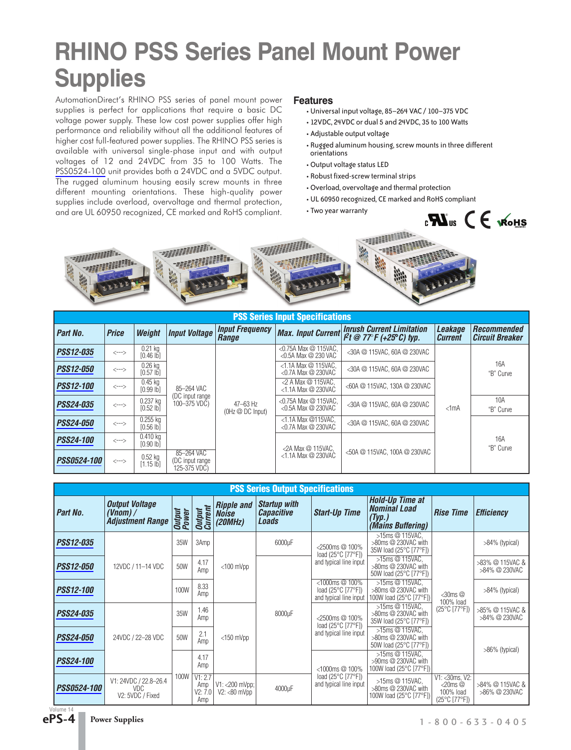## **RHINO PSS Series Panel Mount Power Supplies**

AutomationDirect's RHINO PSS series of panel mount power supplies is perfect for applications that require a basic DC voltage power supply. These low cost power supplies offer high performance and reliability without all the additional features of higher cost full-featured power supplies. The RHINO PSS series is available with universal single-phase input and with output voltages of 12 and 24VDC from 35 to 100 Watts. The [PSS0524-100](http://www.automationdirect.com/pn/PSS0524-100) unit provides both a 24VDC and a 5VDC output. The rugged aluminum housing easily screw mounts in three different mounting orientations. These high-quality power supplies include overload, overvoltage and thermal protection, and are UL 60950 recognized, CE marked and RoHS compliant.

#### **Features**

- Universal input voltage, 85–264 VAC / 100–375 VDC
- 12VDC, 24VDC or dual 5 and 24VDC, 35 to 100 Watts
- Adjustable output voltage
- Rugged aluminum housing, screw mounts in three different orientations
- Output voltage status LED
- Robust fixed-screw terminal strips
- Overload, overvoltage and thermal protection
- UL 60950 recognized, CE marked and RoHS compliant
- Two year warranty





| <b>PSS Series Input Specifications</b> |                                         |                             |                                               |                                    |                                                                |                                                          |                                  |                                              |                  |  |
|----------------------------------------|-----------------------------------------|-----------------------------|-----------------------------------------------|------------------------------------|----------------------------------------------------------------|----------------------------------------------------------|----------------------------------|----------------------------------------------|------------------|--|
| Part No.                               | <b>Price</b>                            | Weight                      | <b>Input Voltage</b>                          | <b>Input Frequency</b><br>Range    | <b>Max. Input Current</b>                                      | <b>Inrush Current Limitation</b><br>$Pt@77F(+25°C)$ typ. | <b>Leakage</b><br><b>Current</b> | <b>Recommended</b><br><b>Circuit Breaker</b> |                  |  |
| <b>PSS12-035</b>                       | $\left\langle \rightarrow\right\rangle$ | $0.21$ kg<br>$[0.46 \, lb]$ |                                               |                                    | <0.75A Max @ 115VAC.<br><0.5A Max @ 230 VAC                    | <30A @ 115VAC, 60A @ 230VAC                              |                                  |                                              |                  |  |
| <b>PSS12-050</b>                       | $\left\langle \rightarrow\right\rangle$ | $0.26$ ka<br>$[0.57$ lb]    | 85-264 VAC<br>(DC input range<br>100-375 VDC) | 47-63 Hz<br>$(OHZ \n\no DC Input)$ | $<1.1A$ Max $\oslash$ 115VAC.<br>$<$ 0.7A Max $\oslash$ 230VAC | <30A @ 115VAC, 60A @ 230VAC                              |                                  | 16A<br>"B" Curve                             |                  |  |
| <b>PSS12-100</b>                       | $\left\langle \rightarrow\right\rangle$ | $0.45$ kg<br>$[0.99$ $ b]$  |                                               |                                    | $2$ A Max $@$ 115VAC.<br>$<$ 1.1A Max $@$ 230VAC               | <60A @ 115VAC, 130A @ 230VAC                             |                                  |                                              |                  |  |
| <b>PSS24-035</b>                       | $\left\langle \rightarrow\right\rangle$ | $0.237$ kg<br>$[0.52$ lb]   |                                               |                                    |                                                                | <0.75A Max @ 115VAC,<br><0.5A Max @ 230VAC               | <30A @ 115VAC, 60A @ 230VAC      | $<1$ mA                                      | 10A<br>"B" Curve |  |
| <b>PSS24-050</b>                       | $\left\langle \rightarrow\right\rangle$ | $0.255$ ka<br>$[0.56$ $ b]$ |                                               |                                    |                                                                | <1.1A Max @115VAC.<br>$<$ 0.7A Max $\oslash$ 230VAC      | <30A @ 115VAC, 60A @ 230VAC      |                                              |                  |  |
| <b>PSS24-100</b>                       | $\left\langle \cdots \right\rangle$     | $0.410$ ka<br>$[0.90$ lb]   |                                               |                                    |                                                                |                                                          |                                  | <2A Max @ 115VAC,                            |                  |  |
| <b>PSS0524-100</b>                     | $<\!\!-\!\!-\!\!>$                      | $0.52$ kg<br>$[1.15 \, lb]$ | 85-264 VAC<br>(DC input range<br>125-375 VDC) |                                    | $<$ 1.1A Max $@$ 230VAC                                        | <50A @ 115VAC, 100A @ 230VAC                             |                                  |                                              |                  |  |

| <b>PSS Series Output Specifications</b> |                                                                |                        |                                       |                                              |                                                          |                                                                |                                                                              |                                                                                   |                                  |  |  |                        |  |  |                                                                  |  |                   |
|-----------------------------------------|----------------------------------------------------------------|------------------------|---------------------------------------|----------------------------------------------|----------------------------------------------------------|----------------------------------------------------------------|------------------------------------------------------------------------------|-----------------------------------------------------------------------------------|----------------------------------|--|--|------------------------|--|--|------------------------------------------------------------------|--|-------------------|
| Part No.                                | <b>Output Voltage</b><br>(Vnom) $/$<br><b>Adjustment Range</b> | <b>Output</b><br>Power | <b>Output</b><br>Current              | <b>Ripple and</b><br><b>Noise</b><br>(20MHz) | <b>Startup with</b><br><b>Capacitive</b><br><b>Loads</b> | <b>Start-Up Time</b>                                           | <b>Hold-Up Time at</b><br><b>Nominal Load</b><br>(Typ.)<br>(Mains Buffering) | <b>Rise Time</b>                                                                  | <b>Efficiency</b>                |  |  |                        |  |  |                                                                  |  |                   |
| <i>PSS12-035</i>                        |                                                                | 35W                    | 3Amp                                  |                                              | 6000µF                                                   | <2500ms @ 100%<br>load (25°C [77°F])                           | >15ms @ 115VAC,<br>>80ms @ 230VAC with<br>35W load (25°C [77°F])             |                                                                                   | $>84\%$ (typical)                |  |  |                        |  |  |                                                                  |  |                   |
| <i>PSS12-050</i>                        | 12VDC / 11-14 VDC                                              | 50W                    | 4.17<br>Amp                           | $<$ 100 mVpp                                 |                                                          | and typical line input                                         | >15ms @ 115VAC,<br>>80ms @ 230VAC with<br>50W load (25°C [77°F])             | $<$ 30ms $@$<br>100% load                                                         | >83% @ 115VAC &<br>>84% @ 230VAC |  |  |                        |  |  |                                                                  |  |                   |
| <i>PSS12-100</i>                        |                                                                | 100W                   | 8.33<br>Amp                           |                                              |                                                          | <1000ms @ 100%<br>load (25°C [77°F])<br>and typical line input | >15ms @ 115VAC,<br>>80ms @ 230VAC with<br>100W load (25°C [77°F])            |                                                                                   | $>84\%$ (typical)                |  |  |                        |  |  |                                                                  |  |                   |
| <b>PSS24-035</b>                        |                                                                | 35W                    | 1.46<br>Amp                           |                                              | 8000µF                                                   | <2500ms @ 100%<br>load (25°C [77°F])                           | >15ms @ 115VAC,<br>>80ms @ 230VAC with<br>35W load (25°C [77°F])             | $(25^{\circ}C [77^{\circ}F])$                                                     | >85% @ 115VAC &<br>>84% @ 230VAC |  |  |                        |  |  |                                                                  |  |                   |
| <i>PSS24-050</i>                        | 24VDC / 22-28 VDC                                              | 50W                    | 2.1<br>Amp                            | $<$ 150 mVpp                                 |                                                          |                                                                |                                                                              |                                                                                   |                                  |  |  | and typical line input |  |  | >15ms @ 115VAC,<br>>80ms @ 230VAC with<br>50W load (25°C [77°F]) |  | $>86\%$ (typical) |
| <i>PSS24-100</i>                        |                                                                |                        | 4.17<br>Amp                           |                                              |                                                          | $<$ 1000ms $@$ 100%                                            | >15ms @ 115VAC,<br>>90ms @ 230VAC with<br>100W load (25°C [77°F])            |                                                                                   |                                  |  |  |                        |  |  |                                                                  |  |                   |
| <i>PSS0524-100</i>                      | V1: 24VDC / 22.8-26.4<br><b>VDC</b><br>V2: 5VDC / Fixed        |                        | 100W V1: 2.7<br>Amp<br>V2: 7.0<br>Amp | $V1: < 200$ mVpp;<br>$V2: < 80$ mVpp         | 4000µF                                                   | load (25°C [77°F])<br>and typical line input                   | >15ms @ 115VAC,<br>>80ms @ 230VAC with<br>100W load (25°C [77°F])            | V1: < 30ms, V2:<br>$<$ 20ms $@$<br>100% load<br>$(25^{\circ}C$ [77 $^{\circ}F$ ]) | >84% @ 115VAC &<br>>86% @ 230VAC |  |  |                        |  |  |                                                                  |  |                   |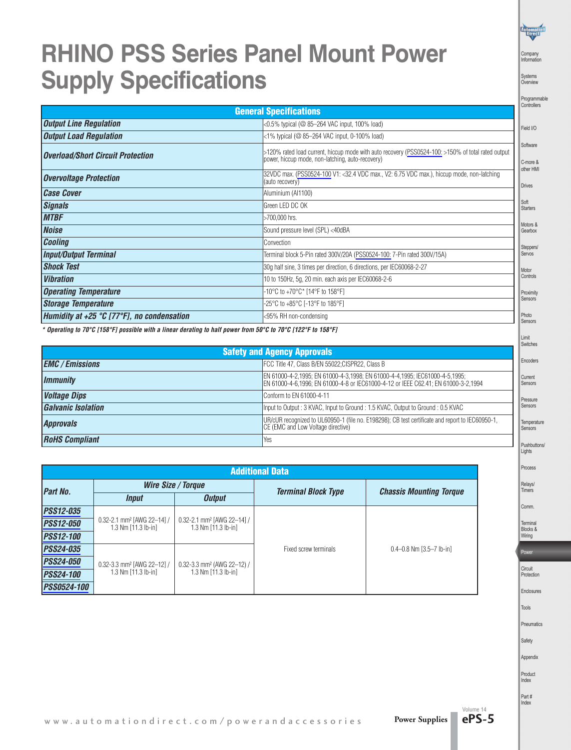### **RHINO PSS Series Panel Mount Power Supply Specifications**

Company Information

Systems Overview

|                                            |                                                                                                                                                        | Programmable<br>Controllers       |
|--------------------------------------------|--------------------------------------------------------------------------------------------------------------------------------------------------------|-----------------------------------|
|                                            | <b>General Specifications</b>                                                                                                                          |                                   |
| <b>Output Line Regulation</b>              | <0.5% typical ( $@$ 85-264 VAC input, 100% load)                                                                                                       | Field I/O                         |
| <b>Output Load Regulation</b>              | <1% typical ( $@$ 85-264 VAC input, 0-100% load)                                                                                                       |                                   |
| <b>Overload/Short Circuit Protection</b>   | >120% rated load current, hiccup mode with auto recovery (PSS0524-100: >150% of total rated output<br>power, hiccup mode, non-latching, auto-recovery) | Software<br>C-more &<br>other HMI |
| <b>Overvoltage Protection</b>              | 32VDC max. (PSS0524-100 V1: <32.4 VDC max., V2: 6.75 VDC max.), hiccup mode, non-latching<br>(auto recovery)                                           | <b>Drives</b>                     |
| <b>Case Cover</b>                          | Aluminium (Al1100)                                                                                                                                     |                                   |
| <b>Signals</b>                             | Green LED DC OK                                                                                                                                        | Soft<br><b>Starters</b>           |
| <b>MTBF</b>                                | >700,000 hrs.                                                                                                                                          |                                   |
| <b>Noise</b>                               | Sound pressure level (SPL) <40dBA                                                                                                                      | Motors &<br>Gearbox               |
| <b>Cooling</b>                             | Convection                                                                                                                                             | Steppers/                         |
| <b>Input/Output Terminal</b>               | Terminal block 5-Pin rated 300V/20A (PSS0524-100: 7-Pin rated 300V/15A)                                                                                | Servos                            |
| <b>Shock Test</b>                          | 30g half sine, 3 times per direction, 6 directions, per IEC60068-2-27                                                                                  | Motor                             |
| <b>Vibration</b>                           | 10 to 150Hz, 5g, 20 min. each axis per IEC60068-2-6                                                                                                    | Controls                          |
| <b>Operating Temperature</b>               | -10°C to +70°C* [14°F to 158°F]                                                                                                                        | Proximity                         |
| <b>Storage Temperature</b>                 | -25°C to +85°C [-13°F to 185°F]                                                                                                                        | Sensors                           |
| Humidity at +25 °C [77°F], no condensation | <95% RH non-condensing                                                                                                                                 | Photo<br>Sensors                  |

\* Operating to 70°C [158°F] possible with a linear derating to half power from 50°C to 70°C [122°F to 158°F]

|                                    |                                                                                                                                                                   |  | Switches           |  |  |
|------------------------------------|-------------------------------------------------------------------------------------------------------------------------------------------------------------------|--|--------------------|--|--|
| <b>Safety and Agency Approvals</b> |                                                                                                                                                                   |  |                    |  |  |
| <b>EMC</b> / Emissions             | FCC Title 47, Class B/EN 55022; CISPR22, Class B                                                                                                                  |  | Encoder            |  |  |
| <i>Immunity</i>                    | EN 61000-4-2,1995; EN 61000-4-3,1998; EN 61000-4-4,1995; IEC61000-4-5,1995;<br>EN 61000-4-6,1996; EN 61000-4-8 or IEC61000-4-12 or IEEE C62.41; EN 61000-3-2,1994 |  | Current<br>Sensors |  |  |
| <b>Voltage Dips</b>                | Conform to EN 61000-4-11                                                                                                                                          |  | Pressure           |  |  |
| <b>Galvanic Isolation</b>          | Input to Output: 3 KVAC, Input to Ground: 1.5 KVAC, Output to Ground: 0.5 KVAC                                                                                    |  | Sensors            |  |  |
| <b>Approvals</b>                   | UR/cUR recognized to UL60950-1 (file no. E198298); CB test certificate and report to IEC60950-1,<br>CE (EMC and Low Voltage directive)                            |  | Tempera<br>Sensors |  |  |
| <b>RoHS Compliant</b>              | Yes                                                                                                                                                               |  | Pushbut            |  |  |

| <b>Additional Data</b> |                                                                   |                                                                   |                            |                                  |  |  |  |  |
|------------------------|-------------------------------------------------------------------|-------------------------------------------------------------------|----------------------------|----------------------------------|--|--|--|--|
| <b>Part No.</b>        |                                                                   | Wire Size / Torque                                                | <b>Terminal Block Type</b> | <b>Chassis Mounting Torque</b>   |  |  |  |  |
|                        | Input                                                             | <b>Output</b>                                                     |                            |                                  |  |  |  |  |
| <b>PSS12-035</b>       |                                                                   |                                                                   |                            |                                  |  |  |  |  |
| <b>PSS12-050</b>       | $0.32 - 2.1$ mm <sup>2</sup> [AWG 22-14] /<br>1.3 Nm [11.3 lb-in] | $0.32 - 2.1$ mm <sup>2</sup> [AWG 22-14] /<br>1.3 Nm [11.3 lb-in] |                            |                                  |  |  |  |  |
| <b>PSS12-100</b>       |                                                                   |                                                                   |                            |                                  |  |  |  |  |
| <b>PSS24-035</b>       |                                                                   |                                                                   | Fixed screw terminals      | $0.4 - 0.8$ Nm $[3.5 - 7]$ lb-in |  |  |  |  |
| <b>PSS24-050</b>       | $0.32 - 3.3$ mm <sup>2</sup> [AWG 22-12] /                        | 0.32-3.3 mm <sup>2</sup> (AWG 22-12) /<br>1.3 Nm [11.3 lb-in]     |                            |                                  |  |  |  |  |
| <b>PSS24-100</b>       | 1.3 Nm [11.3 lb-in]                                               |                                                                   |                            |                                  |  |  |  |  |
| <i>PSS0524-100</i>     |                                                                   |                                                                   |                            |                                  |  |  |  |  |

oders rent Sensors ssure sors nperature sors hbuttons Lights Process Relays/ Timers Comm.

Limit

Terminal Blocks & Wiring Power

Circuit Protection Enclosures

Tools

Pneumatics

Safety

Appendix

Product Index

Part # Index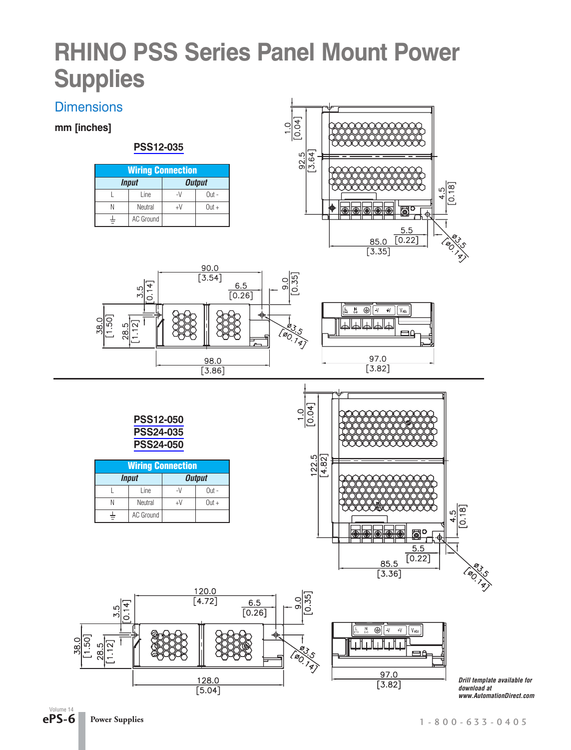### **RHINO PSS Series Panel Mount Power Supplies**

### **Dimensions**

**mm [inches]**

#### **[PSS12-035](http://www.automationdirect.com/pn/PSS12-035)**

| <b>Wiring Connection</b> |           |        |         |  |  |  |  |
|--------------------------|-----------|--------|---------|--|--|--|--|
| <b>Output</b><br>Input   |           |        |         |  |  |  |  |
|                          | Line      | $\sim$ | $Out -$ |  |  |  |  |
|                          | Neutral   | +V     | $Out +$ |  |  |  |  |
|                          | AC Ground |        |         |  |  |  |  |







**[PSS12-050](http://www.automationdirect.com/pn/PSS12-050) [PSS24-035](http://www.automationdirect.com/pn/PSS24-035) [PSS24-050](http://www.automationdirect.com/pn/PSS24-050)**

| <b>Wiring Connection</b> |           |               |          |  |  |  |  |
|--------------------------|-----------|---------------|----------|--|--|--|--|
|                          | Input     | <b>Output</b> |          |  |  |  |  |
|                          | Line      |               | $Out -$  |  |  |  |  |
|                          | Neutral   | +V            | $0$ ut + |  |  |  |  |
|                          | AC Ground |               |          |  |  |  |  |



 $\overline{N}$   $\bigoplus$   $\overline{\bigvee_{i=1}^{N} V_{i}}$   $\overline{V_{i}}$ il⊥il⊥i  $\mathbf{I}$ ٦f 97.0  $\overline{[3.82]}$ 

*Drill template available for download at www.AutomationDirect.com*